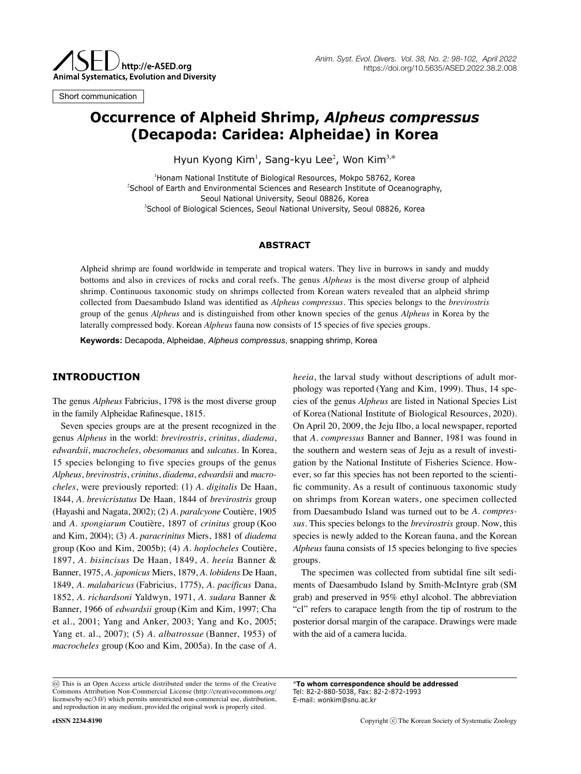Short communication

# **Occurrence of Alpheid Shrimp,** *Alpheus compressus* **(Decapoda: Caridea: Alpheidae) in Korea**

Hyun Kyong Kim<sup>1</sup>, Sang-kyu Lee<sup>2</sup>, Won Kim<sup>3,\*</sup>

 Honam National Institute of Biological Resources, Mokpo 58762, Korea School of Earth and Environmental Sciences and Research Institute of Oceanography, Seoul National University, Seoul 08826, Korea School of Biological Sciences, Seoul National University, Seoul 08826, Korea

#### **ABSTRACT**

Alpheid shrimp are found worldwide in temperate and tropical waters. They live in burrows in sandy and muddy bottoms and also in crevices of rocks and coral reefs. The genus *Alpheus* is the most diverse group of alpheid shrimp. Continuous taxonomic study on shrimps collected from Korean waters revealed that an alpheid shrimp collected from Daesambudo Island was identified as *Alpheus compressus*. This species belongs to the *brevirostris* group of the genus *Alpheus* and is distinguished from other known species of the genus *Alpheus* in Korea by the laterally compressed body. Korean *Alpheus* fauna now consists of 15 species of five species groups.

**Keywords:** Decapoda, Alpheidae, *Alpheus compressus*, snapping shrimp, Korea

## **INTRODUCTION**

The genus *Alpheus* Fabricius, 1798 is the most diverse group in the family Alpheidae Rafinesque, 1815.

Seven species groups are at the present recognized in the genus *Alpheus* in the world: *brevirostris*, *crinitus*, *diadema*, *edwardsii*, *macrocheles*, *obesomanus* and *sulcatus*. In Korea, 15 species belonging to five species groups of the genus *Alpheus*, *brevirostris*, *crinitus*, *diadema*, *edwardsii* and *macrocheles*, were previously reported: (1) *A. digitalis* De Haan, 1844, *A. brevicristatus* De Haan, 1844 of *brevirostris* group (Hayashi and Nagata, 2002); (2) *A. paralcyone* Coutière, 1905 and *A. spongiarum* Coutière, 1897 of *crinitus* group (Koo and Kim, 2004); (3) *A. paracrinitus* Miers, 1881 of *diadema* group (Koo and Kim, 2005b); (4) *A. hoplocheles* Coutière, 1897, *A. bisincisus* De Haan, 1849, *A. heeia* Banner & Banner, 1975, *A. japonicus* Miers, 1879, *A. lobidens* De Haan, 1849, *A. malabaricus* (Fabricius, 1775), *A. pacificus* Dana, 1852, *A. richardsoni* Yaldwyn, 1971, *A. sudara* Banner & Banner, 1966 of *edwardsii* group (Kim and Kim, 1997; Cha et al., 2001; Yang and Anker, 2003; Yang and Ko, 2005; Yang et. al., 2007); (5) *A. albatrossae* (Banner, 1953) of *macrocheles* group (Koo and Kim, 2005a). In the case of *A.* 

*heeia*, the larval study without descriptions of adult morphology was reported (Yang and Kim, 1999). Thus, 14 species of the genus *Alpheus* are listed in National Species List of Korea (National Institute of Biological Resources, 2020). On April 20, 2009, the Jeju Ilbo, a local newspaper, reported that *A. compressus* Banner and Banner, 1981 was found in the southern and western seas of Jeju as a result of investigation by the National Institute of Fisheries Science. However, so far this species has not been reported to the scientific community. As a result of continuous taxonomic study on shrimps from Korean waters, one specimen collected from Daesambudo Island was turned out to be *A. compressus*. This species belongs to the *brevirostris* group. Now, this species is newly added to the Korean fauna, and the Korean *Alpheus* fauna consists of 15 species belonging to five species groups.

The specimen was collected from subtidal fine silt sediments of Daesambudo Island by Smith-McIntyre grab (SM grab) and preserved in 95% ethyl alcohol. The abbreviation "cl" refers to carapace length from the tip of rostrum to the posterior dorsal margin of the carapace. Drawings were made with the aid of a camera lucida.

\***To whom correspondence should be addressed** Tel: 82-2-880-5038, Fax: 82-2-872-1993 E-mail: wonkim@snu.ac.kr

This is an Open Access article distributed under the terms of the Creative Commons Attribution Non-Commercial License (http://creativecommons.org/ licenses/by-nc/3.0/) which permits unrestricted non-commercial use, distribution, and reproduction in any medium, provided the original work is properly cited.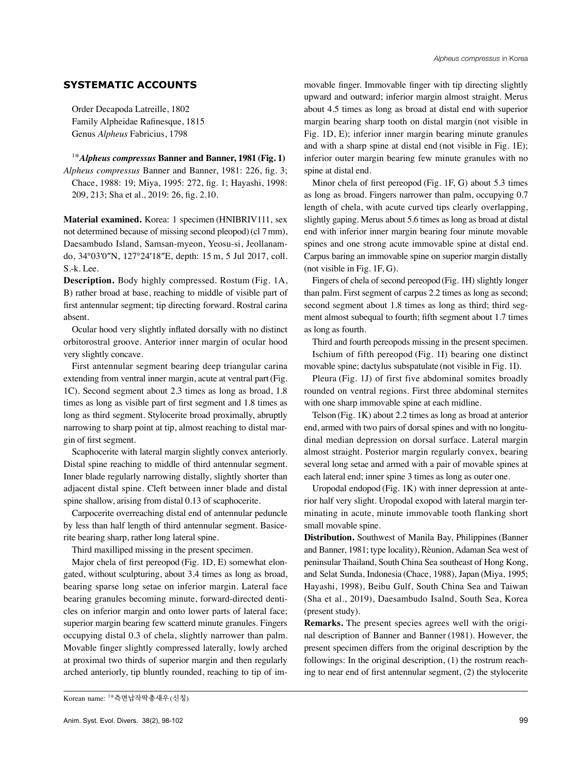## **SYSTEMATIC ACCOUNTS**

Order Decapoda Latreille, 1802 Family Alpheidae Rafinesque, 1815 Genus *Alpheus* Fabricius, 1798

1\**Alpheus compressus* **Banner and Banner, 1981 (Fig. 1)** *Alpheus compressus* Banner and Banner, 1981: 226, fig. 3; Chace, 1988: 19; Miya, 1995: 272, fig. 1; Hayashi, 1998: 209, 213; Sha et al., 2019: 26, fig. 2.10.

**Material examined.** Korea: 1 specimen (HNIBRIV111, sex not determined because of missing second pleopod)(cl 7mm), Daesambudo Island, Samsan-myeon, Yeosu-si, Jeollanamdo, 34°03′0″N, 127°24′18″E, depth: 15 m, 5 Jul 2017, coll. S.-k. Lee.

**Description.** Body highly compressed. Rostum (Fig. 1A, B) rather broad at base, reaching to middle of visible part of first antennular segment; tip directing forward. Rostral carina absent.

Ocular hood very slightly inflated dorsally with no distinct orbitorostral groove. Anterior inner margin of ocular hood very slightly concave.

First antennular segment bearing deep triangular carina extending from ventral inner margin, acute at ventral part(Fig. 1C). Second segment about 2.3 times as long as broad, 1.8 times as long as visible part of first segment and 1.8 times as long as third segment. Stylocerite broad proximally, abruptly narrowing to sharp point at tip, almost reaching to distal margin of first segment.

Scaphocerite with lateral margin slightly convex anteriorly. Distal spine reaching to middle of third antennular segment. Inner blade regularly narrowing distally, slightly shorter than adjacent distal spine. Cleft between inner blade and distal spine shallow, arising from distal 0.13 of scaphocerite.

Carpocerite overreaching distal end of antennular peduncle by less than half length of third antennular segment. Basicerite bearing sharp, rather long lateral spine.

Third maxilliped missing in the present specimen.

Major chela of first pereopod (Fig. 1D, E) somewhat elongated, without sculpturing, about 3.4 times as long as broad, bearing sparse long setae on inferior margin. Lateral face bearing granules becoming minute, forward-directed denticles on inferior margin and onto lower parts of lateral face; superior margin bearing few scatterd minute granules. Fingers occupying distal 0.3 of chela, slightly narrower than palm. Movable finger slightly compressed laterally, lowly arched at proximal two thirds of superior margin and then regularly arched anteriorly, tip bluntly rounded, reaching to tip of immovable finger. Immovable finger with tip directing slightly upward and outward; inferior margin almost straight. Merus about 4.5 times as long as broad at distal end with superior margin bearing sharp tooth on distal margin (not visible in Fig. 1D, E); inferior inner margin bearing minute granules and with a sharp spine at distal end (not visible in Fig. 1E); inferior outer margin bearing few minute granules with no spine at distal end.

Minor chela of first pereopod (Fig. 1F, G) about 5.3 times as long as broad. Fingers narrower than palm, occupying 0.7 length of chela, with acute curved tips clearly overlapping, slightly gaping. Merus about 5.6 times as long as broad at distal end with inferior inner margin bearing four minute movable spines and one strong acute immovable spine at distal end. Carpus baring an immovable spine on superior margin distally (not visible in Fig. 1F, G).

Fingers of chela of second pereopod (Fig. 1H) slightly longer than palm. First segment of carpus 2.2 times as long as second; second segment about 1.8 times as long as third; third segment almost subequal to fourth; fifth segment about 1.7 times as long as fourth.

Third and fourth pereopods missing in the present specimen. Ischium of fifth pereopod (Fig. 1I) bearing one distinct movable spine; dactylus subspatulate (not visible in Fig. 1I).

Pleura (Fig. 1J) of first five abdominal somites broadly rounded on ventral regions. First three abdominal sternites with one sharp immovable spine at each midline.

Telson (Fig. 1K) about 2.2 times as long as broad at anterior end, armed with two pairs of dorsal spines and with no longitudinal median depression on dorsal surface. Lateral margin almost straight. Posterior margin regularly convex, bearing several long setae and armed with a pair of movable spines at each lateral end; inner spine 3 times as long as outer one.

Uropodal endopod (Fig. 1K) with inner depression at anterior half very slight. Uropodal exopod with lateral margin terminating in acute, minute immovable tooth flanking short small movable spine.

**Distribution.** Southwest of Manila Bay, Philippines (Banner and Banner, 1981; type locality), Rèunion, Adaman Sea west of peninsular Thailand, South China Sea southeast of Hong Kong, and Selat Sunda, Indonesia (Chace, 1988), Japan (Miya, 1995; Hayashi, 1998), Beibu Gulf, South China Sea and Taiwan (Sha et al., 2019), Daesambudo Isalnd, South Sea, Korea (present study).

**Remarks.** The present species agrees well with the original description of Banner and Banner (1981). However, the present specimen differs from the original description by the followings: In the original description, (1) the rostrum reaching to near end of first antennular segment, (2) the stylocerite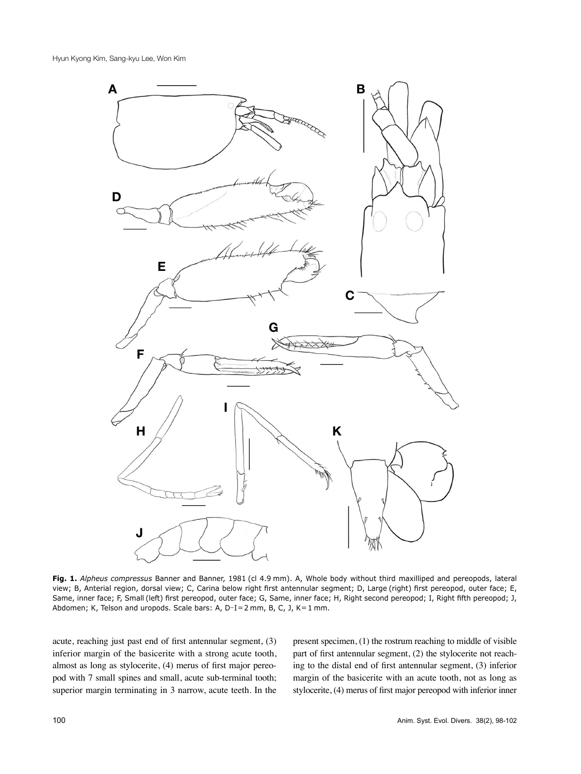

**Fig. 1.** *Alpheus compressus* Banner and Banner, 1981 (cl 4.9 mm). A, Whole body without third maxilliped and pereopods, lateral view; B, Anterial region, dorsal view; C, Carina below right first antennular segment; D, Large (right) first pereopod, outer face; E, Same, inner face; F, Small (left) first pereopod, outer face; G, Same, inner face; H, Right second pereopod; I, Right fifth pereopod; J, Abdomen; K, Telson and uropods. Scale bars: A, D-I=2 mm, B, C, J, K=1 mm.

acute, reaching just past end of first antennular segment, (3) inferior margin of the basicerite with a strong acute tooth, almost as long as stylocerite, (4) merus of first major pereopod with 7 small spines and small, acute sub-terminal tooth; superior margin terminating in 3 narrow, acute teeth. In the

present specimen, (1) the rostrum reaching to middle of visible part of first antennular segment, (2) the stylocerite not reaching to the distal end of first antennular segment, (3) inferior margin of the basicerite with an acute tooth, not as long as stylocerite, (4) merus of first major pereopod with inferior inner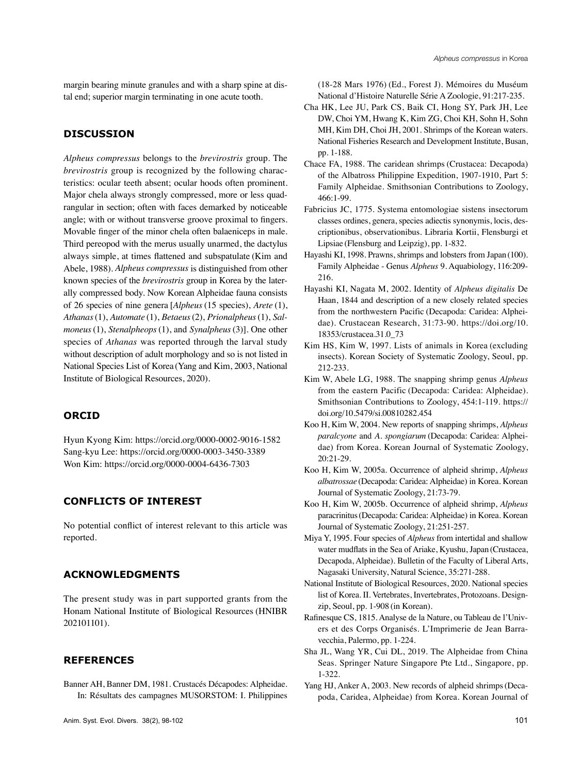margin bearing minute granules and with a sharp spine at distal end; superior margin terminating in one acute tooth.

## **DISCUSSION**

*Alpheus compressus* belongs to the *brevirostris* group. The *brevirostris* group is recognized by the following characteristics: ocular teeth absent; ocular hoods often prominent. Major chela always strongly compressed, more or less quadrangular in section; often with faces demarked by noticeable angle; with or without transverse groove proximal to fingers. Movable finger of the minor chela often balaeniceps in male. Third pereopod with the merus usually unarmed, the dactylus always simple, at times flattened and subspatulate (Kim and Abele, 1988). *Alpheus compressus* is distinguished from other known species of the *brevirostris* group in Korea by the laterally compressed body. Now Korean Alpheidae fauna consists of 26 species of nine genera [*Alpheus* (15 species), *Arete* (1), *Athanas*(1), *Automate* (1), *Betaeus*(2), *Prionalpheus*(1), *Salmoneus*(1), *Stenalpheops*(1), and *Synalpheus*(3)]. One other species of *Athanas* was reported through the larval study without description of adult morphology and so is not listed in National Species List of Korea (Yang and Kim, 2003, National Institute of Biological Resources, 2020).

#### **ORCID**

Hyun Kyong Kim: https://orcid.org/0000-0002-9016-1582 Sang-kyu Lee: https://orcid.org/0000-0003-3450-3389 Won Kim: https://orcid.org/0000-0004-6436-7303

## **CONFLICTS OF INTEREST**

No potential conflict of interest relevant to this article was reported.

#### **ACKNOWLEDGMENTS**

The present study was in part supported grants from the Honam National Institute of Biological Resources (HNIBR 202101101).

### **REFERENCES**

Banner AH, Banner DM, 1981. Crustacés Décapodes: Alpheidae. In: Résultats des campagnes MUSORSTOM: I. Philippines (18-28 Mars 1976) (Ed., Forest J). Mémoires du Muséum National d'Histoire Naturelle Série A Zoologie, 91:217-235.

- Cha HK, Lee JU, Park CS, Baik CI, Hong SY, Park JH, Lee DW, Choi YM, Hwang K, Kim ZG, Choi KH, Sohn H, Sohn MH, Kim DH, Choi JH, 2001. Shrimps of the Korean waters. National Fisheries Research and Development Institute, Busan, pp. 1-188.
- Chace FA, 1988. The caridean shrimps (Crustacea: Decapoda) of the Albatross Philippine Expedition, 1907-1910, Part 5: Family Alpheidae. Smithsonian Contributions to Zoology, 466:1-99.
- Fabricius JC, 1775. Systema entomologiae sistens insectorum classes ordines, genera, species adiectis synonymis, locis, descriptionibus, observationibus. Libraria Kortii, Flensburgi et Lipsiae (Flensburg and Leipzig), pp. 1-832.
- Hayashi KI, 1998. Prawns, shrimps and lobsters from Japan (100). Family Alpheidae - Genus *Alpheus* 9. Aquabiology, 116:209- 216.
- Hayashi KI, Nagata M, 2002. Identity of *Alpheus digitalis* De Haan, 1844 and description of a new closely related species from the northwestern Pacific (Decapoda: Caridea: Alpheidae). Crustacean Research, 31:73-90. https://doi.org/10. 18353/crustacea.31.0\_73
- Kim HS, Kim W, 1997. Lists of animals in Korea (excluding insects). Korean Society of Systematic Zoology, Seoul, pp. 212-233.
- Kim W, Abele LG, 1988. The snapping shrimp genus *Alpheus* from the eastern Pacific (Decapoda: Caridea: Alpheidae). Smithsonian Contributions to Zoology, 454:1-119. https:// doi.org/10.5479/si.00810282.454
- Koo H, Kim W, 2004. New reports of snapping shrimps, *Alpheus paralcyone* and *A. spongiarum* (Decapoda: Caridea: Alpheidae) from Korea. Korean Journal of Systematic Zoology, 20:21-29.
- Koo H, Kim W, 2005a. Occurrence of alpheid shrimp, *Alpheus albatrossae* (Decapoda: Caridea: Alpheidae) in Korea. Korean Journal of Systematic Zoology, 21:73-79.
- Koo H, Kim W, 2005b. Occurrence of alpheid shrimp, *Alpheus* paracrinitus(Decapoda: Caridea: Alpheidae) in Korea. Korean Journal of Systematic Zoology, 21:251-257.
- Miya Y, 1995. Four species of *Alpheus* from intertidal and shallow water mudflats in the Sea of Ariake, Kyushu, Japan (Crustacea, Decapoda, Alpheidae). Bulletin of the Faculty of Liberal Arts, Nagasaki University, Natural Science, 35:271-288.
- National Institute of Biological Resources, 2020. National species list of Korea. II. Vertebrates, Invertebrates, Protozoans. Designzip, Seoul, pp. 1-908 (in Korean).
- Rafinesque CS, 1815. Analyse de la Nature, ou Tableau de l'Univers et des Corps Organisés. L'Imprimerie de Jean Barravecchia, Palermo, pp. 1-224.
- Sha JL, Wang YR, Cui DL, 2019. The Alpheidae from China Seas. Springer Nature Singapore Pte Ltd., Singapore, pp. 1-322.
- Yang HJ, Anker A, 2003. New records of alpheid shrimps(Decapoda, Caridea, Alpheidae) from Korea. Korean Journal of